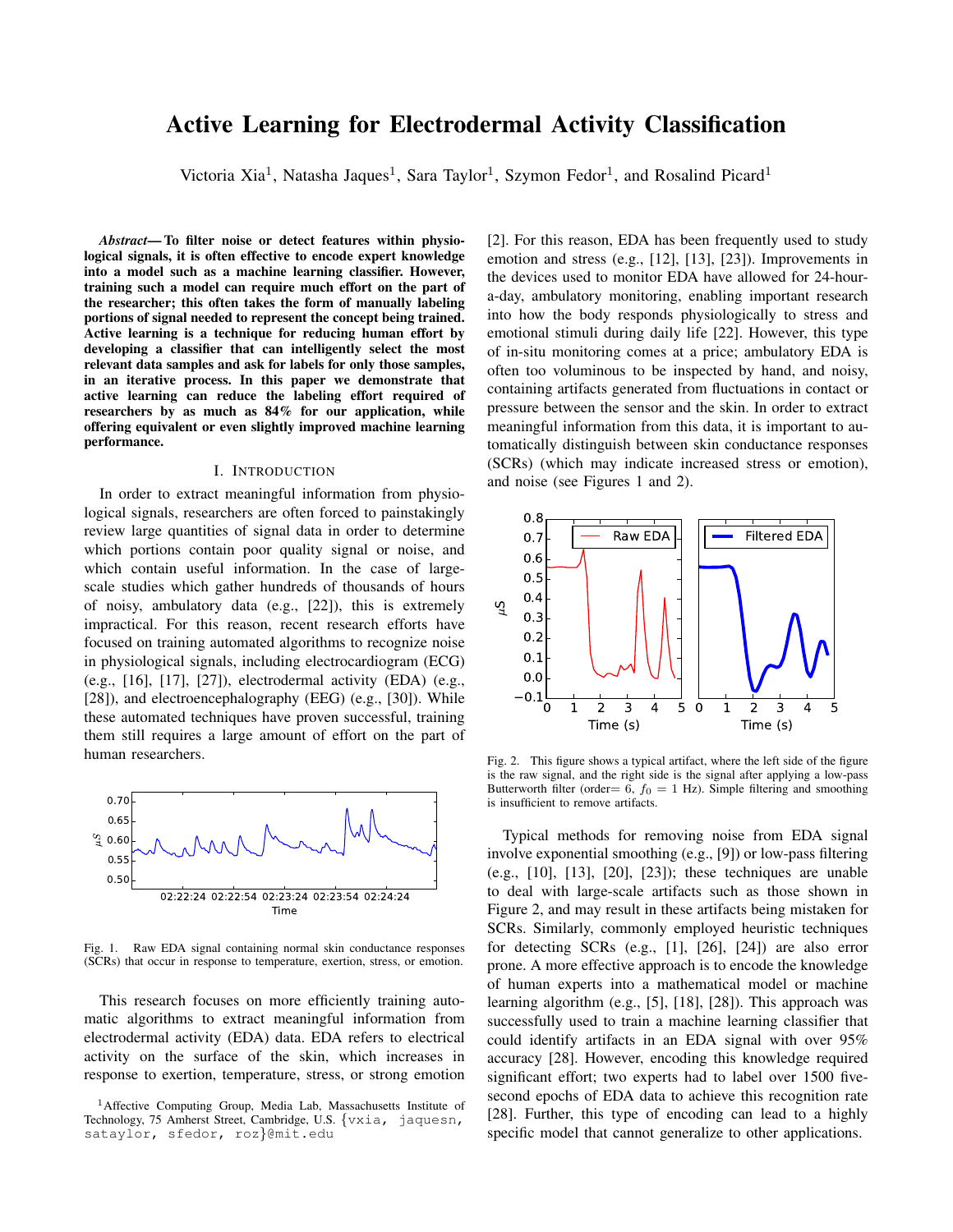# Active Learning for Electrodermal Activity Classification

Victoria Xia<sup>1</sup>, Natasha Jaques<sup>1</sup>, Sara Taylor<sup>1</sup>, Szymon Fedor<sup>1</sup>, and Rosalind Picard<sup>1</sup>

*Abstract*— To filter noise or detect features within physiological signals, it is often effective to encode expert knowledge into a model such as a machine learning classifier. However, training such a model can require much effort on the part of the researcher; this often takes the form of manually labeling portions of signal needed to represent the concept being trained. Active learning is a technique for reducing human effort by developing a classifier that can intelligently select the most relevant data samples and ask for labels for only those samples, in an iterative process. In this paper we demonstrate that active learning can reduce the labeling effort required of researchers by as much as 84% for our application, while offering equivalent or even slightly improved machine learning performance.

#### I. INTRODUCTION

In order to extract meaningful information from physiological signals, researchers are often forced to painstakingly review large quantities of signal data in order to determine which portions contain poor quality signal or noise, and which contain useful information. In the case of largescale studies which gather hundreds of thousands of hours of noisy, ambulatory data (e.g., [22]), this is extremely impractical. For this reason, recent research efforts have focused on training automated algorithms to recognize noise in physiological signals, including electrocardiogram (ECG) (e.g., [16], [17], [27]), electrodermal activity (EDA) (e.g., [28]), and electroencephalography (EEG) (e.g., [30]). While these automated techniques have proven successful, training them still requires a large amount of effort on the part of human researchers.



Fig. 1. Raw EDA signal containing normal skin conductance responses (SCRs) that occur in response to temperature, exertion, stress, or emotion.

This research focuses on more efficiently training automatic algorithms to extract meaningful information from electrodermal activity (EDA) data. EDA refers to electrical activity on the surface of the skin, which increases in response to exertion, temperature, stress, or strong emotion

[2]. For this reason, EDA has been frequently used to study emotion and stress (e.g., [12], [13], [23]). Improvements in the devices used to monitor EDA have allowed for 24-houra-day, ambulatory monitoring, enabling important research into how the body responds physiologically to stress and emotional stimuli during daily life [22]. However, this type of in-situ monitoring comes at a price; ambulatory EDA is often too voluminous to be inspected by hand, and noisy, containing artifacts generated from fluctuations in contact or pressure between the sensor and the skin. In order to extract meaningful information from this data, it is important to automatically distinguish between skin conductance responses (SCRs) (which may indicate increased stress or emotion), and noise (see Figures 1 and 2).



Fig. 2. This figure shows a typical artifact, where the left side of the figure is the raw signal, and the right side is the signal after applying a low-pass Butterworth filter (order= 6,  $f_0 = 1$  Hz). Simple filtering and smoothing is insufficient to remove artifacts.

Typical methods for removing noise from EDA signal involve exponential smoothing (e.g., [9]) or low-pass filtering (e.g., [10], [13], [20], [23]); these techniques are unable to deal with large-scale artifacts such as those shown in Figure 2, and may result in these artifacts being mistaken for SCRs. Similarly, commonly employed heuristic techniques for detecting SCRs (e.g., [1], [26], [24]) are also error prone. A more effective approach is to encode the knowledge of human experts into a mathematical model or machine learning algorithm (e.g., [5], [18], [28]). This approach was successfully used to train a machine learning classifier that could identify artifacts in an EDA signal with over 95% accuracy [28]. However, encoding this knowledge required significant effort; two experts had to label over 1500 fivesecond epochs of EDA data to achieve this recognition rate [28]. Further, this type of encoding can lead to a highly specific model that cannot generalize to other applications.

<sup>1</sup>Affective Computing Group, Media Lab, Massachusetts Institute of Technology, 75 Amherst Street, Cambridge, U.S. {vxia, jaquesn, sataylor, sfedor, roz}@mit.edu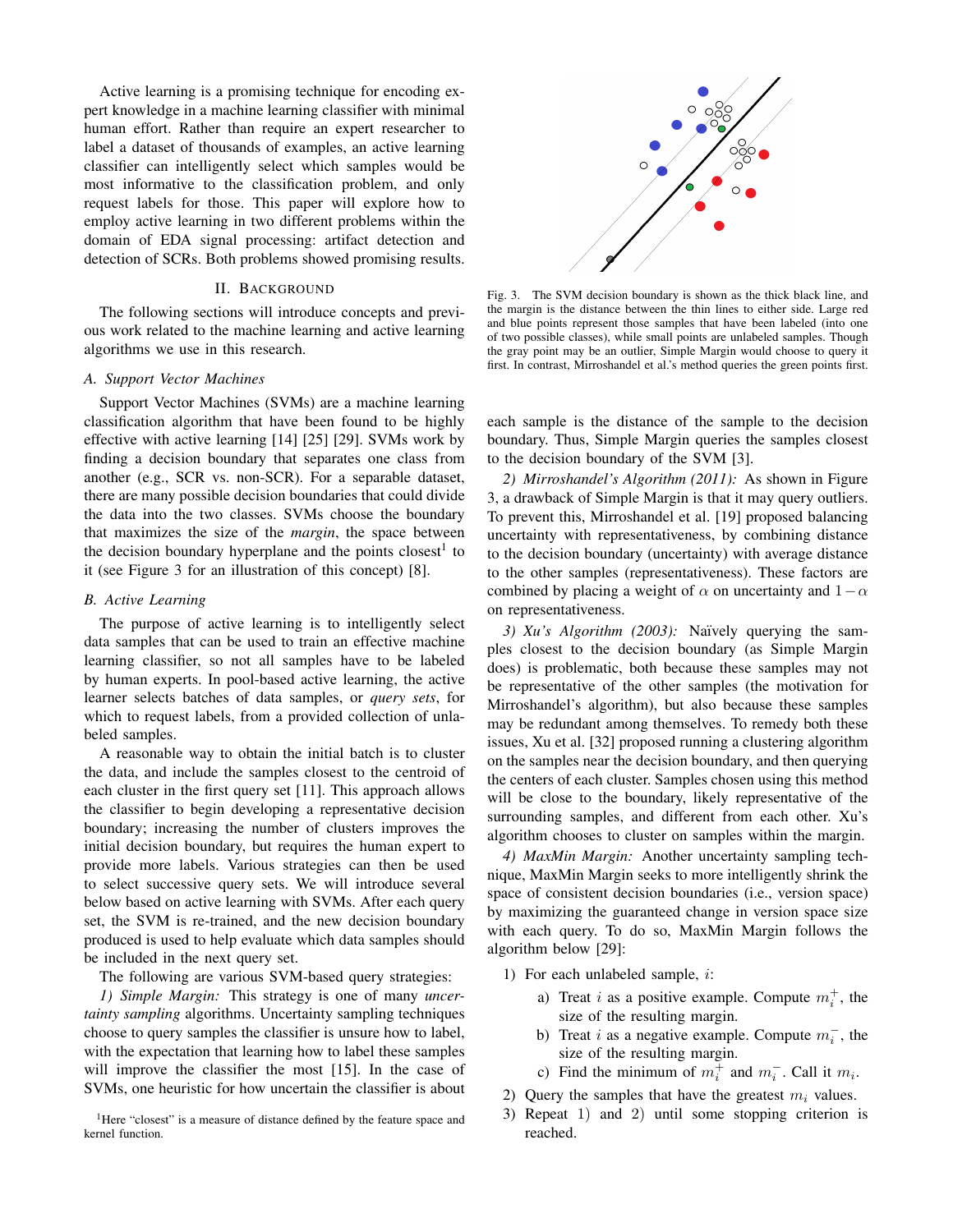Active learning is a promising technique for encoding expert knowledge in a machine learning classifier with minimal human effort. Rather than require an expert researcher to label a dataset of thousands of examples, an active learning classifier can intelligently select which samples would be most informative to the classification problem, and only request labels for those. This paper will explore how to employ active learning in two different problems within the domain of EDA signal processing: artifact detection and detection of SCRs. Both problems showed promising results.

# II. BACKGROUND

The following sections will introduce concepts and previous work related to the machine learning and active learning algorithms we use in this research.

## *A. Support Vector Machines*

Support Vector Machines (SVMs) are a machine learning classification algorithm that have been found to be highly effective with active learning [14] [25] [29]. SVMs work by finding a decision boundary that separates one class from another (e.g., SCR vs. non-SCR). For a separable dataset, there are many possible decision boundaries that could divide the data into the two classes. SVMs choose the boundary that maximizes the size of the *margin*, the space between the decision boundary hyperplane and the points closest<sup>1</sup> to it (see Figure 3 for an illustration of this concept) [8].

# *B. Active Learning*

The purpose of active learning is to intelligently select data samples that can be used to train an effective machine learning classifier, so not all samples have to be labeled by human experts. In pool-based active learning, the active learner selects batches of data samples, or *query sets*, for which to request labels, from a provided collection of unlabeled samples.

A reasonable way to obtain the initial batch is to cluster the data, and include the samples closest to the centroid of each cluster in the first query set [11]. This approach allows the classifier to begin developing a representative decision boundary; increasing the number of clusters improves the initial decision boundary, but requires the human expert to provide more labels. Various strategies can then be used to select successive query sets. We will introduce several below based on active learning with SVMs. After each query set, the SVM is re-trained, and the new decision boundary produced is used to help evaluate which data samples should be included in the next query set.

The following are various SVM-based query strategies:

*1) Simple Margin:* This strategy is one of many *uncertainty sampling* algorithms. Uncertainty sampling techniques choose to query samples the classifier is unsure how to label, with the expectation that learning how to label these samples will improve the classifier the most [15]. In the case of SVMs, one heuristic for how uncertain the classifier is about



Fig. 3. The SVM decision boundary is shown as the thick black line, and the margin is the distance between the thin lines to either side. Large red and blue points represent those samples that have been labeled (into one of two possible classes), while small points are unlabeled samples. Though the gray point may be an outlier, Simple Margin would choose to query it first. In contrast, Mirroshandel et al.'s method queries the green points first.

each sample is the distance of the sample to the decision boundary. Thus, Simple Margin queries the samples closest to the decision boundary of the SVM [3].

*2) Mirroshandel's Algorithm (2011):* As shown in Figure 3, a drawback of Simple Margin is that it may query outliers. To prevent this, Mirroshandel et al. [19] proposed balancing uncertainty with representativeness, by combining distance to the decision boundary (uncertainty) with average distance to the other samples (representativeness). These factors are combined by placing a weight of  $\alpha$  on uncertainty and  $1-\alpha$ on representativeness.

3) Xu's Algorithm (2003): Naïvely querying the samples closest to the decision boundary (as Simple Margin does) is problematic, both because these samples may not be representative of the other samples (the motivation for Mirroshandel's algorithm), but also because these samples may be redundant among themselves. To remedy both these issues, Xu et al. [32] proposed running a clustering algorithm on the samples near the decision boundary, and then querying the centers of each cluster. Samples chosen using this method will be close to the boundary, likely representative of the surrounding samples, and different from each other. Xu's algorithm chooses to cluster on samples within the margin.

*4) MaxMin Margin:* Another uncertainty sampling technique, MaxMin Margin seeks to more intelligently shrink the space of consistent decision boundaries (i.e., version space) by maximizing the guaranteed change in version space size with each query. To do so, MaxMin Margin follows the algorithm below [29]:

1) For each unlabeled sample, i:

- a) Treat *i* as a positive example. Compute  $m_i^+$ , the size of the resulting margin.
- b) Treat i as a negative example. Compute  $m_i^-$ , the size of the resulting margin.
- c) Find the minimum of  $m_i^{\dagger}$  and  $m_i^{\dagger}$ . Call it  $m_i$ .
- 2) Query the samples that have the greatest  $m_i$  values.
- 3) Repeat 1) and 2) until some stopping criterion is reached.

<sup>&</sup>lt;sup>1</sup>Here "closest" is a measure of distance defined by the feature space and kernel function.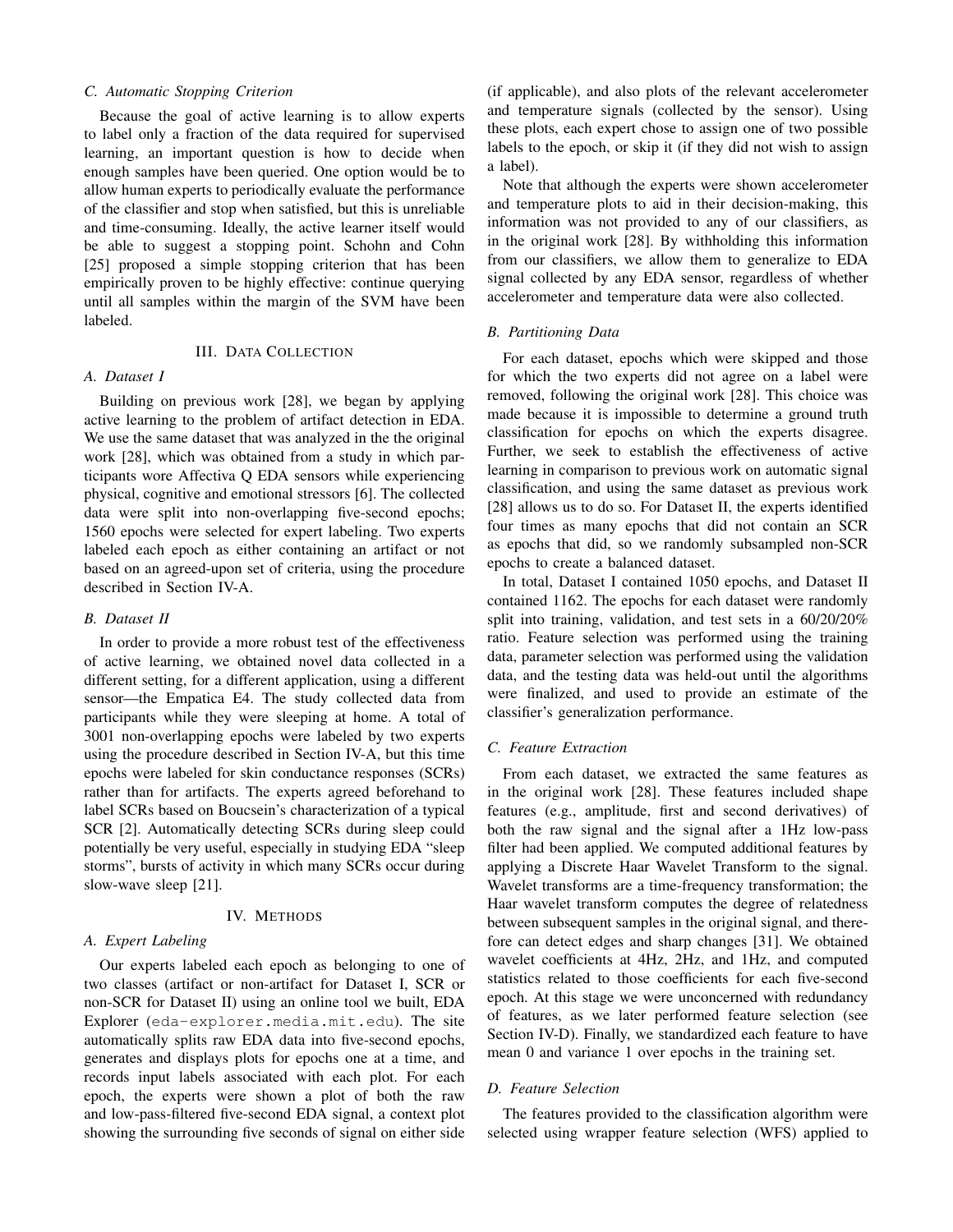# *C. Automatic Stopping Criterion*

Because the goal of active learning is to allow experts to label only a fraction of the data required for supervised learning, an important question is how to decide when enough samples have been queried. One option would be to allow human experts to periodically evaluate the performance of the classifier and stop when satisfied, but this is unreliable and time-consuming. Ideally, the active learner itself would be able to suggest a stopping point. Schohn and Cohn [25] proposed a simple stopping criterion that has been empirically proven to be highly effective: continue querying until all samples within the margin of the SVM have been labeled.

# III. DATA COLLECTION

## *A. Dataset I*

Building on previous work [28], we began by applying active learning to the problem of artifact detection in EDA. We use the same dataset that was analyzed in the the original work [28], which was obtained from a study in which participants wore Affectiva Q EDA sensors while experiencing physical, cognitive and emotional stressors [6]. The collected data were split into non-overlapping five-second epochs; 1560 epochs were selected for expert labeling. Two experts labeled each epoch as either containing an artifact or not based on an agreed-upon set of criteria, using the procedure described in Section IV-A.

# *B. Dataset II*

In order to provide a more robust test of the effectiveness of active learning, we obtained novel data collected in a different setting, for a different application, using a different sensor—the Empatica E4. The study collected data from participants while they were sleeping at home. A total of 3001 non-overlapping epochs were labeled by two experts using the procedure described in Section IV-A, but this time epochs were labeled for skin conductance responses (SCRs) rather than for artifacts. The experts agreed beforehand to label SCRs based on Boucsein's characterization of a typical SCR [2]. Automatically detecting SCRs during sleep could potentially be very useful, especially in studying EDA "sleep storms", bursts of activity in which many SCRs occur during slow-wave sleep [21].

## IV. METHODS

# *A. Expert Labeling*

Our experts labeled each epoch as belonging to one of two classes (artifact or non-artifact for Dataset I, SCR or non-SCR for Dataset II) using an online tool we built, EDA Explorer (eda-explorer.media.mit.edu). The site automatically splits raw EDA data into five-second epochs, generates and displays plots for epochs one at a time, and records input labels associated with each plot. For each epoch, the experts were shown a plot of both the raw and low-pass-filtered five-second EDA signal, a context plot showing the surrounding five seconds of signal on either side (if applicable), and also plots of the relevant accelerometer and temperature signals (collected by the sensor). Using these plots, each expert chose to assign one of two possible labels to the epoch, or skip it (if they did not wish to assign a label).

Note that although the experts were shown accelerometer and temperature plots to aid in their decision-making, this information was not provided to any of our classifiers, as in the original work [28]. By withholding this information from our classifiers, we allow them to generalize to EDA signal collected by any EDA sensor, regardless of whether accelerometer and temperature data were also collected.

### *B. Partitioning Data*

For each dataset, epochs which were skipped and those for which the two experts did not agree on a label were removed, following the original work [28]. This choice was made because it is impossible to determine a ground truth classification for epochs on which the experts disagree. Further, we seek to establish the effectiveness of active learning in comparison to previous work on automatic signal classification, and using the same dataset as previous work [28] allows us to do so. For Dataset II, the experts identified four times as many epochs that did not contain an SCR as epochs that did, so we randomly subsampled non-SCR epochs to create a balanced dataset.

In total, Dataset I contained 1050 epochs, and Dataset II contained 1162. The epochs for each dataset were randomly split into training, validation, and test sets in a 60/20/20% ratio. Feature selection was performed using the training data, parameter selection was performed using the validation data, and the testing data was held-out until the algorithms were finalized, and used to provide an estimate of the classifier's generalization performance.

#### *C. Feature Extraction*

From each dataset, we extracted the same features as in the original work [28]. These features included shape features (e.g., amplitude, first and second derivatives) of both the raw signal and the signal after a 1Hz low-pass filter had been applied. We computed additional features by applying a Discrete Haar Wavelet Transform to the signal. Wavelet transforms are a time-frequency transformation; the Haar wavelet transform computes the degree of relatedness between subsequent samples in the original signal, and therefore can detect edges and sharp changes [31]. We obtained wavelet coefficients at 4Hz, 2Hz, and 1Hz, and computed statistics related to those coefficients for each five-second epoch. At this stage we were unconcerned with redundancy of features, as we later performed feature selection (see Section IV-D). Finally, we standardized each feature to have mean 0 and variance 1 over epochs in the training set.

## *D. Feature Selection*

The features provided to the classification algorithm were selected using wrapper feature selection (WFS) applied to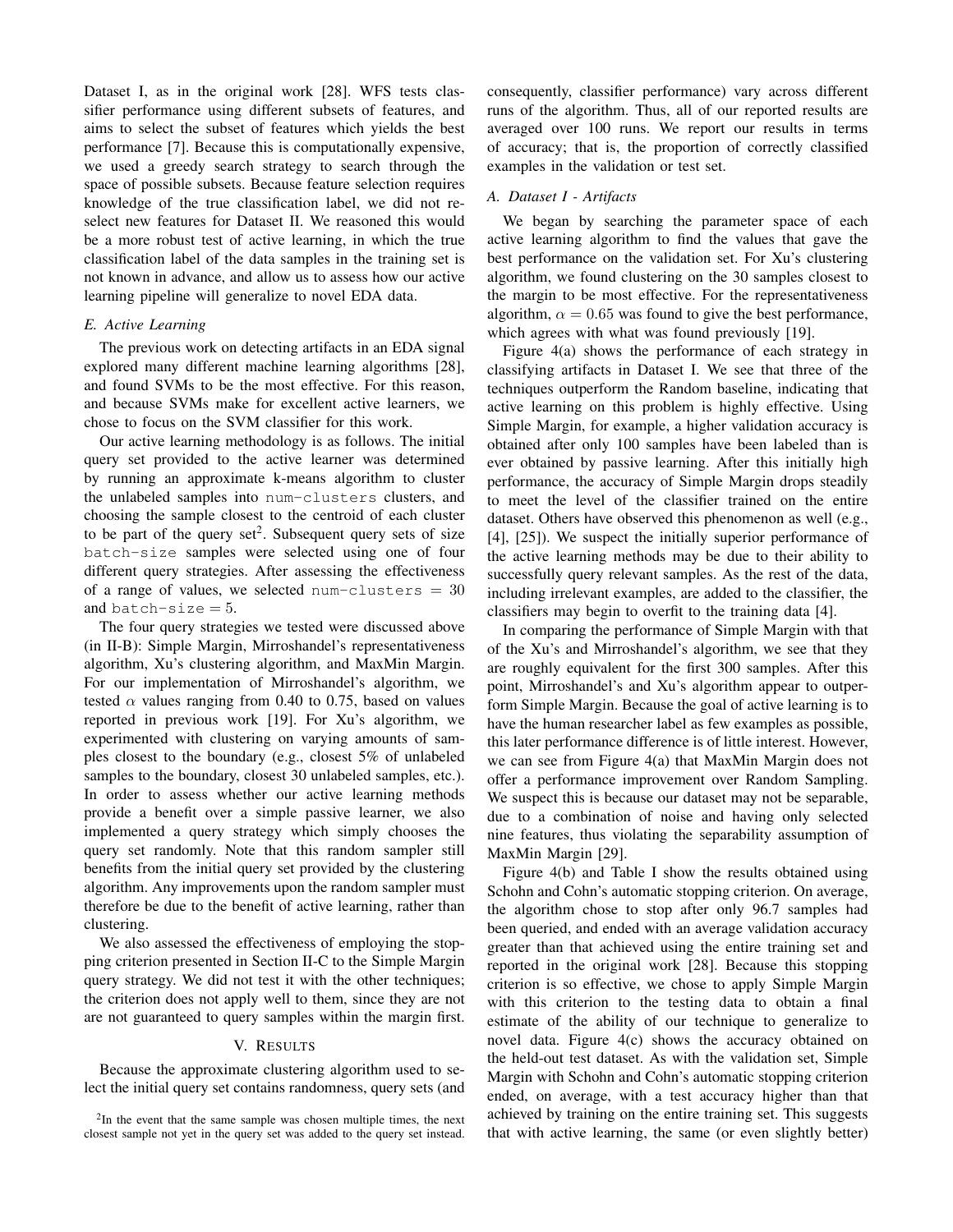Dataset I, as in the original work [28]. WFS tests classifier performance using different subsets of features, and aims to select the subset of features which yields the best performance [7]. Because this is computationally expensive, we used a greedy search strategy to search through the space of possible subsets. Because feature selection requires knowledge of the true classification label, we did not reselect new features for Dataset II. We reasoned this would be a more robust test of active learning, in which the true classification label of the data samples in the training set is not known in advance, and allow us to assess how our active learning pipeline will generalize to novel EDA data.

# *E. Active Learning*

The previous work on detecting artifacts in an EDA signal explored many different machine learning algorithms [28], and found SVMs to be the most effective. For this reason, and because SVMs make for excellent active learners, we chose to focus on the SVM classifier for this work.

Our active learning methodology is as follows. The initial query set provided to the active learner was determined by running an approximate k-means algorithm to cluster the unlabeled samples into num-clusters clusters, and choosing the sample closest to the centroid of each cluster to be part of the query set<sup>2</sup>. Subsequent query sets of size batch-size samples were selected using one of four different query strategies. After assessing the effectiveness of a range of values, we selected num-clusters  $= 30$ and batch-size  $= 5$ .

The four query strategies we tested were discussed above (in II-B): Simple Margin, Mirroshandel's representativeness algorithm, Xu's clustering algorithm, and MaxMin Margin. For our implementation of Mirroshandel's algorithm, we tested  $\alpha$  values ranging from 0.40 to 0.75, based on values reported in previous work [19]. For Xu's algorithm, we experimented with clustering on varying amounts of samples closest to the boundary (e.g., closest 5% of unlabeled samples to the boundary, closest 30 unlabeled samples, etc.). In order to assess whether our active learning methods provide a benefit over a simple passive learner, we also implemented a query strategy which simply chooses the query set randomly. Note that this random sampler still benefits from the initial query set provided by the clustering algorithm. Any improvements upon the random sampler must therefore be due to the benefit of active learning, rather than clustering.

We also assessed the effectiveness of employing the stopping criterion presented in Section II-C to the Simple Margin query strategy. We did not test it with the other techniques; the criterion does not apply well to them, since they are not are not guaranteed to query samples within the margin first.

#### V. RESULTS

Because the approximate clustering algorithm used to select the initial query set contains randomness, query sets (and consequently, classifier performance) vary across different runs of the algorithm. Thus, all of our reported results are averaged over 100 runs. We report our results in terms of accuracy; that is, the proportion of correctly classified examples in the validation or test set.

# *A. Dataset I - Artifacts*

We began by searching the parameter space of each active learning algorithm to find the values that gave the best performance on the validation set. For Xu's clustering algorithm, we found clustering on the 30 samples closest to the margin to be most effective. For the representativeness algorithm,  $\alpha = 0.65$  was found to give the best performance, which agrees with what was found previously [19].

Figure 4(a) shows the performance of each strategy in classifying artifacts in Dataset I. We see that three of the techniques outperform the Random baseline, indicating that active learning on this problem is highly effective. Using Simple Margin, for example, a higher validation accuracy is obtained after only 100 samples have been labeled than is ever obtained by passive learning. After this initially high performance, the accuracy of Simple Margin drops steadily to meet the level of the classifier trained on the entire dataset. Others have observed this phenomenon as well (e.g., [4], [25]). We suspect the initially superior performance of the active learning methods may be due to their ability to successfully query relevant samples. As the rest of the data, including irrelevant examples, are added to the classifier, the classifiers may begin to overfit to the training data [4].

In comparing the performance of Simple Margin with that of the Xu's and Mirroshandel's algorithm, we see that they are roughly equivalent for the first 300 samples. After this point, Mirroshandel's and Xu's algorithm appear to outperform Simple Margin. Because the goal of active learning is to have the human researcher label as few examples as possible, this later performance difference is of little interest. However, we can see from Figure 4(a) that MaxMin Margin does not offer a performance improvement over Random Sampling. We suspect this is because our dataset may not be separable, due to a combination of noise and having only selected nine features, thus violating the separability assumption of MaxMin Margin [29].

Figure 4(b) and Table I show the results obtained using Schohn and Cohn's automatic stopping criterion. On average, the algorithm chose to stop after only 96.7 samples had been queried, and ended with an average validation accuracy greater than that achieved using the entire training set and reported in the original work [28]. Because this stopping criterion is so effective, we chose to apply Simple Margin with this criterion to the testing data to obtain a final estimate of the ability of our technique to generalize to novel data. Figure 4(c) shows the accuracy obtained on the held-out test dataset. As with the validation set, Simple Margin with Schohn and Cohn's automatic stopping criterion ended, on average, with a test accuracy higher than that achieved by training on the entire training set. This suggests that with active learning, the same (or even slightly better)

 $2$ In the event that the same sample was chosen multiple times, the next closest sample not yet in the query set was added to the query set instead.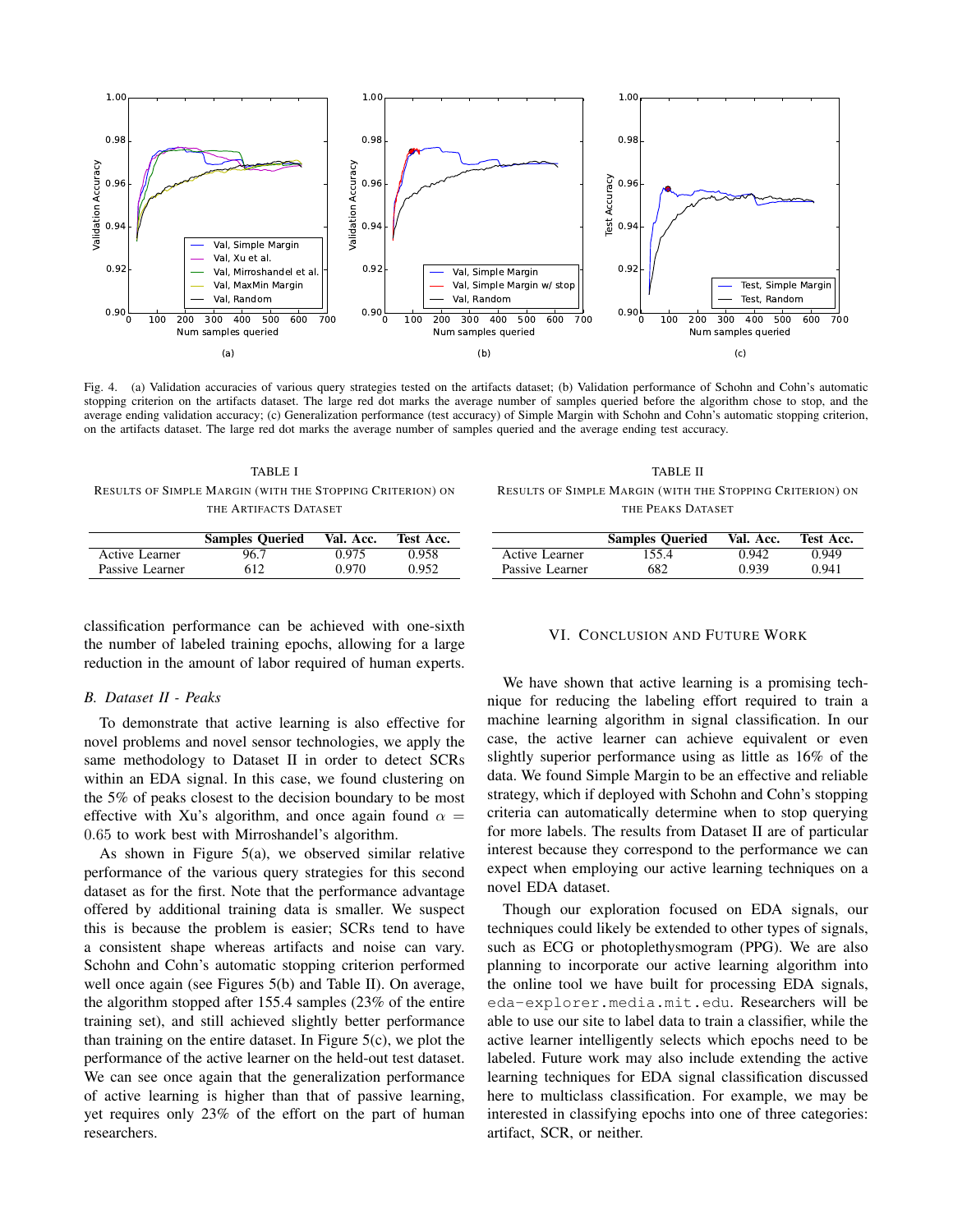

Fig. 4. (a) Validation accuracies of various query strategies tested on the artifacts dataset; (b) Validation performance of Schohn and Cohn's automatic stopping criterion on the artifacts dataset. The large red dot marks the average number of samples queried before the algorithm chose to stop, and the average ending validation accuracy; (c) Generalization performance (test accuracy) of Simple Margin with Schohn and Cohn's automatic stopping criterion, on the artifacts dataset. The large red dot marks the average number of samples queried and the average ending test accuracy.

TABLE I RESULTS OF SIMPLE MARGIN (WITH THE STOPPING CRITERION) ON THE ARTIFACTS DATASET

TABLE II RESULTS OF SIMPLE MARGIN (WITH THE STOPPING CRITERION) ON THE PEAKS DATASET

|                 | <b>Samples Queried</b> | Val. Acc. | Test Acc. |
|-----------------|------------------------|-----------|-----------|
| Active Learner  | 96.7                   | 0.975     | 0.958     |
| Passive Learner | 612                    | 0.970     | 0.952     |

classification performance can be achieved with one-sixth the number of labeled training epochs, allowing for a large reduction in the amount of labor required of human experts.

#### *B. Dataset II - Peaks*

To demonstrate that active learning is also effective for novel problems and novel sensor technologies, we apply the same methodology to Dataset II in order to detect SCRs within an EDA signal. In this case, we found clustering on the 5% of peaks closest to the decision boundary to be most effective with Xu's algorithm, and once again found  $\alpha =$ 0.65 to work best with Mirroshandel's algorithm.

As shown in Figure 5(a), we observed similar relative performance of the various query strategies for this second dataset as for the first. Note that the performance advantage offered by additional training data is smaller. We suspect this is because the problem is easier; SCRs tend to have a consistent shape whereas artifacts and noise can vary. Schohn and Cohn's automatic stopping criterion performed well once again (see Figures 5(b) and Table II). On average, the algorithm stopped after 155.4 samples (23% of the entire training set), and still achieved slightly better performance than training on the entire dataset. In Figure 5(c), we plot the performance of the active learner on the held-out test dataset. We can see once again that the generalization performance of active learning is higher than that of passive learning, yet requires only 23% of the effort on the part of human researchers.

|                 | <b>Samples Queried</b> | Val. Acc. | Test Acc. |
|-----------------|------------------------|-----------|-----------|
| Active Learner  | 155.4                  | 0.942     | 0.949     |
| Passive Learner | 682.                   | 0.939     | 0.941     |

#### VI. CONCLUSION AND FUTURE WORK

We have shown that active learning is a promising technique for reducing the labeling effort required to train a machine learning algorithm in signal classification. In our case, the active learner can achieve equivalent or even slightly superior performance using as little as 16% of the data. We found Simple Margin to be an effective and reliable strategy, which if deployed with Schohn and Cohn's stopping criteria can automatically determine when to stop querying for more labels. The results from Dataset II are of particular interest because they correspond to the performance we can expect when employing our active learning techniques on a novel EDA dataset.

Though our exploration focused on EDA signals, our techniques could likely be extended to other types of signals, such as ECG or photoplethysmogram (PPG). We are also planning to incorporate our active learning algorithm into the online tool we have built for processing EDA signals, eda-explorer.media.mit.edu. Researchers will be able to use our site to label data to train a classifier, while the active learner intelligently selects which epochs need to be labeled. Future work may also include extending the active learning techniques for EDA signal classification discussed here to multiclass classification. For example, we may be interested in classifying epochs into one of three categories: artifact, SCR, or neither.